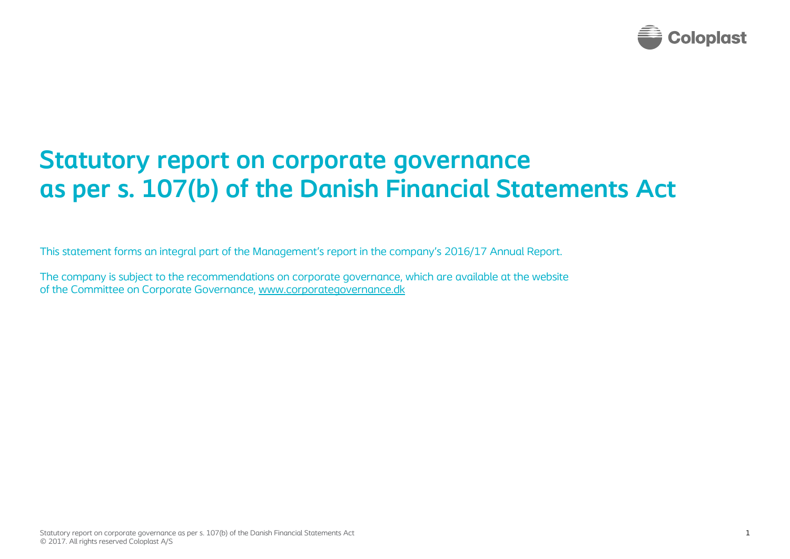

## **Statutory report on corporate governance as per s. 107(b) of the Danish Financial Statements Act**

This statement forms an integral part of the Management's report in the company's 2016/17 Annual Report.

The company is subject to the recommendations on corporate governance, which are available at the website of the Committee on Corporate Governance, [www.corporategovernance.dk](http://www.corporategovernance.dk/)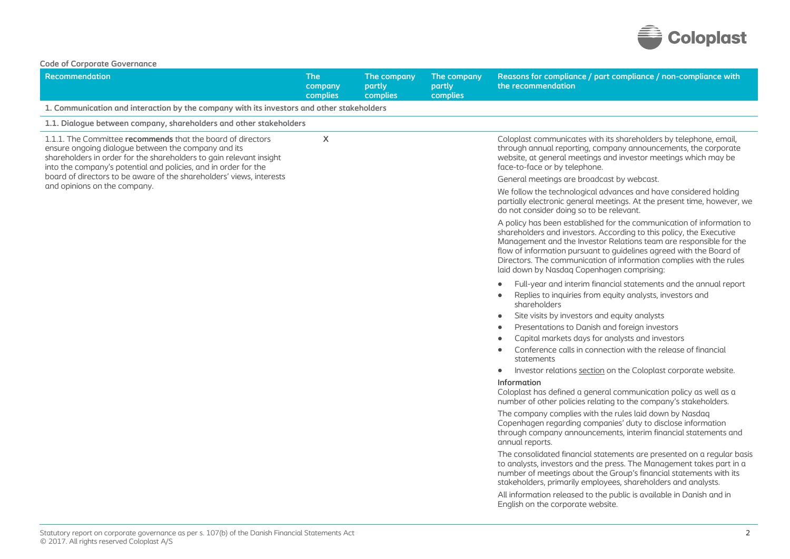

|  |  |  |  | <b>Code of Corporate Governance</b> |
|--|--|--|--|-------------------------------------|
|--|--|--|--|-------------------------------------|

| Code or Corporate Governance<br><b>Recommendation</b>                                                                                                                                                                                                        | <b>The</b><br>company<br>complies | The company<br>partly<br>complies | The company<br>partly<br>complies | Reasons for compliance / part compliance / non-compliance with<br>the recommendation                                                                                                                                                                                                                                                                                                                           |
|--------------------------------------------------------------------------------------------------------------------------------------------------------------------------------------------------------------------------------------------------------------|-----------------------------------|-----------------------------------|-----------------------------------|----------------------------------------------------------------------------------------------------------------------------------------------------------------------------------------------------------------------------------------------------------------------------------------------------------------------------------------------------------------------------------------------------------------|
| 1. Communication and interaction by the company with its investors and other stakeholders                                                                                                                                                                    |                                   |                                   |                                   |                                                                                                                                                                                                                                                                                                                                                                                                                |
| 1.1. Dialogue between company, shareholders and other stakeholders                                                                                                                                                                                           |                                   |                                   |                                   |                                                                                                                                                                                                                                                                                                                                                                                                                |
| 1.1.1. The Committee recommends that the board of directors<br>ensure ongoing dialogue between the company and its<br>shareholders in order for the shareholders to gain relevant insight<br>into the company's potential and policies, and in order for the | $\boldsymbol{\mathsf{X}}$         |                                   |                                   | Coloplast communicates with its shareholders by telephone, email,<br>through annual reporting, company announcements, the corporate<br>website, at general meetings and investor meetings which may be<br>face-to-face or by telephone.                                                                                                                                                                        |
| board of directors to be aware of the shareholders' views, interests<br>and opinions on the company.                                                                                                                                                         |                                   |                                   |                                   | General meetings are broadcast by webcast.                                                                                                                                                                                                                                                                                                                                                                     |
|                                                                                                                                                                                                                                                              |                                   |                                   |                                   | We follow the technological advances and have considered holding<br>partially electronic general meetings. At the present time, however, we<br>do not consider doing so to be relevant.                                                                                                                                                                                                                        |
|                                                                                                                                                                                                                                                              |                                   |                                   |                                   | A policy has been established for the communication of information to<br>shareholders and investors. According to this policy, the Executive<br>Management and the Investor Relations team are responsible for the<br>flow of information pursuant to guidelines agreed with the Board of<br>Directors. The communication of information complies with the rules<br>laid down by Nasdaq Copenhagen comprising: |
|                                                                                                                                                                                                                                                              |                                   |                                   |                                   | Full-year and interim financial statements and the annual report                                                                                                                                                                                                                                                                                                                                               |
|                                                                                                                                                                                                                                                              |                                   |                                   |                                   | Replies to inquiries from equity analysts, investors and<br>shareholders                                                                                                                                                                                                                                                                                                                                       |
|                                                                                                                                                                                                                                                              |                                   |                                   |                                   | Site visits by investors and equity analysts<br>٠                                                                                                                                                                                                                                                                                                                                                              |
|                                                                                                                                                                                                                                                              |                                   |                                   |                                   | Presentations to Danish and foreign investors<br>$\bullet$                                                                                                                                                                                                                                                                                                                                                     |
|                                                                                                                                                                                                                                                              |                                   |                                   |                                   | Capital markets days for analysts and investors                                                                                                                                                                                                                                                                                                                                                                |
|                                                                                                                                                                                                                                                              |                                   |                                   |                                   | Conference calls in connection with the release of financial<br>statements                                                                                                                                                                                                                                                                                                                                     |
|                                                                                                                                                                                                                                                              |                                   |                                   |                                   | Investor relations section on the Coloplast corporate website.<br>۰                                                                                                                                                                                                                                                                                                                                            |
|                                                                                                                                                                                                                                                              |                                   |                                   |                                   | <b>Information</b><br>Coloplast has defined a general communication policy as well as a<br>number of other policies relating to the company's stakeholders.                                                                                                                                                                                                                                                    |
|                                                                                                                                                                                                                                                              |                                   |                                   |                                   | The company complies with the rules laid down by Nasdaq<br>Copenhagen regarding companies' duty to disclose information<br>through company announcements, interim financial statements and<br>annual reports.                                                                                                                                                                                                  |
|                                                                                                                                                                                                                                                              |                                   |                                   |                                   | The consolidated financial statements are presented on a regular basis<br>to analysts, investors and the press. The Management takes part in a<br>number of meetings about the Group's financial statements with its<br>stakeholders, primarily employees, shareholders and analysts.                                                                                                                          |
|                                                                                                                                                                                                                                                              |                                   |                                   |                                   | All information released to the public is available in Danish and in<br>English on the corporate website.                                                                                                                                                                                                                                                                                                      |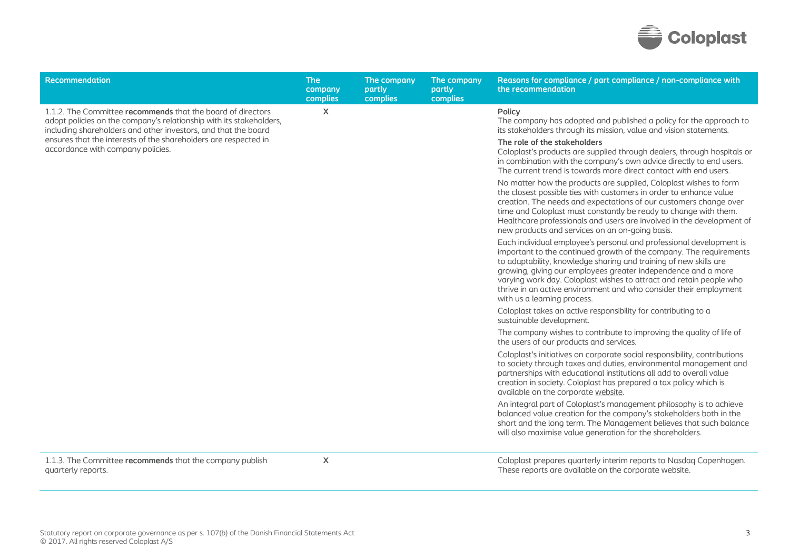

| <b>Recommendation</b>                                                                                                                                                                                | <b>The</b><br>company<br>complies | The company<br>partly<br>complies | The company<br>partly<br>complies | Reasons for compliance / part compliance / non-compliance with<br>the recommendation                                                                                                                                                                                                                                                                                                                                                                       |
|------------------------------------------------------------------------------------------------------------------------------------------------------------------------------------------------------|-----------------------------------|-----------------------------------|-----------------------------------|------------------------------------------------------------------------------------------------------------------------------------------------------------------------------------------------------------------------------------------------------------------------------------------------------------------------------------------------------------------------------------------------------------------------------------------------------------|
| 1.1.2. The Committee recommends that the board of directors<br>adopt policies on the company's relationship with its stakeholders,<br>including shareholders and other investors, and that the board | $\boldsymbol{\mathsf{X}}$         |                                   |                                   | Policy<br>The company has adopted and published a policy for the approach to<br>its stakeholders through its mission, value and vision statements.                                                                                                                                                                                                                                                                                                         |
| ensures that the interests of the shareholders are respected in<br>accordance with company policies.                                                                                                 |                                   |                                   |                                   | The role of the stakeholders<br>Coloplast's products are supplied through dealers, through hospitals or<br>in combination with the company's own advice directly to end users.<br>The current trend is towards more direct contact with end users.                                                                                                                                                                                                         |
|                                                                                                                                                                                                      |                                   |                                   |                                   | No matter how the products are supplied, Coloplast wishes to form<br>the closest possible ties with customers in order to enhance value<br>creation. The needs and expectations of our customers change over<br>time and Coloplast must constantly be ready to change with them.<br>Healthcare professionals and users are involved in the development of<br>new products and services on an on-going basis.                                               |
|                                                                                                                                                                                                      |                                   |                                   |                                   | Each individual employee's personal and professional development is<br>important to the continued growth of the company. The requirements<br>to adaptability, knowledge sharing and training of new skills are<br>growing, giving our employees greater independence and a more<br>varying work day. Coloplast wishes to attract and retain people who<br>thrive in an active environment and who consider their employment<br>with us a learning process. |
|                                                                                                                                                                                                      |                                   |                                   |                                   | Coloplast takes an active responsibility for contributing to a<br>sustainable development.                                                                                                                                                                                                                                                                                                                                                                 |
|                                                                                                                                                                                                      |                                   |                                   |                                   | The company wishes to contribute to improving the quality of life of<br>the users of our products and services.                                                                                                                                                                                                                                                                                                                                            |
|                                                                                                                                                                                                      |                                   |                                   |                                   | Coloplast's initiatives on corporate social responsibility, contributions<br>to society through taxes and duties, environmental management and<br>partnerships with educational institutions all add to overall value<br>creation in society. Coloplast has prepared a tax policy which is<br>available on the corporate website.                                                                                                                          |
|                                                                                                                                                                                                      |                                   |                                   |                                   | An integral part of Coloplast's management philosophy is to achieve<br>balanced value creation for the company's stakeholders both in the<br>short and the long term. The Management believes that such balance<br>will also maximise value generation for the shareholders.                                                                                                                                                                               |
| 1.1.3. The Committee recommends that the company publish<br>quarterly reports.                                                                                                                       | $\sf X$                           |                                   |                                   | Coloplast prepares quarterly interim reports to Nasdaq Copenhagen.<br>These reports are available on the corporate website.                                                                                                                                                                                                                                                                                                                                |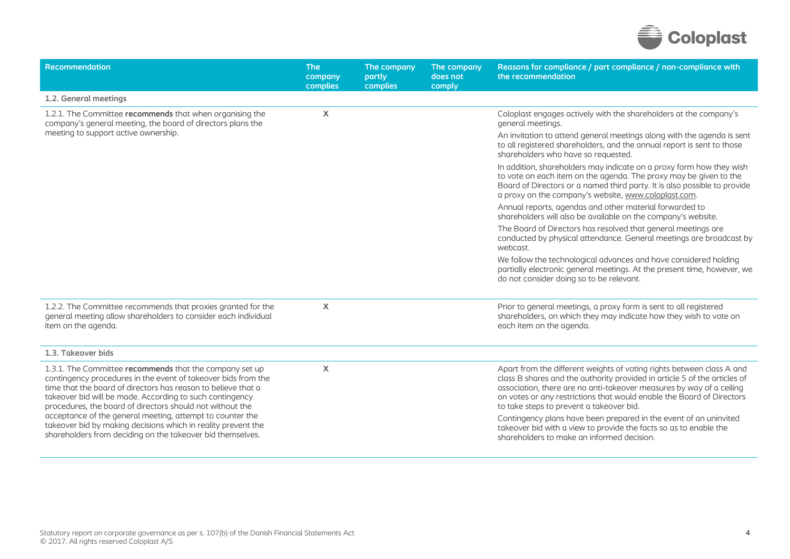

| Recommendation                                                                                                                                                                                                                                                                                                     | <b>The</b><br>company<br>complies | The company<br>partly<br>complies | The company<br>does not<br>comply | Reasons for compliance / part compliance / non-compliance with<br>the recommendation                                                                                                                                                                                                                                                            |
|--------------------------------------------------------------------------------------------------------------------------------------------------------------------------------------------------------------------------------------------------------------------------------------------------------------------|-----------------------------------|-----------------------------------|-----------------------------------|-------------------------------------------------------------------------------------------------------------------------------------------------------------------------------------------------------------------------------------------------------------------------------------------------------------------------------------------------|
| 1.2. General meetings                                                                                                                                                                                                                                                                                              |                                   |                                   |                                   |                                                                                                                                                                                                                                                                                                                                                 |
| 1.2.1. The Committee recommends that when organising the<br>company's general meeting, the board of directors plans the                                                                                                                                                                                            | X                                 |                                   |                                   | Coloplast engages actively with the shareholders at the company's<br>general meetings.                                                                                                                                                                                                                                                          |
| meeting to support active ownership.                                                                                                                                                                                                                                                                               |                                   |                                   |                                   | An invitation to attend general meetings along with the agenda is sent<br>to all registered shareholders, and the annual report is sent to those<br>shareholders who have so requested.                                                                                                                                                         |
|                                                                                                                                                                                                                                                                                                                    |                                   |                                   |                                   | In addition, shareholders may indicate on a proxy form how they wish<br>to vote on each item on the agenda. The proxy may be given to the<br>Board of Directors or a named third party. It is also possible to provide<br>a proxy on the company's website, www.coloplast.com.                                                                  |
|                                                                                                                                                                                                                                                                                                                    |                                   |                                   |                                   | Annual reports, agendas and other material forwarded to<br>shareholders will also be available on the company's website.                                                                                                                                                                                                                        |
|                                                                                                                                                                                                                                                                                                                    |                                   |                                   |                                   | The Board of Directors has resolved that general meetings are<br>conducted by physical attendance. General meetings are broadcast by<br>webcast.                                                                                                                                                                                                |
|                                                                                                                                                                                                                                                                                                                    |                                   |                                   |                                   | We follow the technological advances and have considered holding<br>partially electronic general meetings. At the present time, however, we<br>do not consider doing so to be relevant.                                                                                                                                                         |
| 1.2.2. The Committee recommends that proxies granted for the<br>general meeting allow shareholders to consider each individual<br>item on the agenda.                                                                                                                                                              | $\boldsymbol{\mathsf{X}}$         |                                   |                                   | Prior to general meetings, a proxy form is sent to all registered<br>shareholders, on which they may indicate how they wish to vote on<br>each item on the agenda.                                                                                                                                                                              |
| 1.3. Takeover bids                                                                                                                                                                                                                                                                                                 |                                   |                                   |                                   |                                                                                                                                                                                                                                                                                                                                                 |
| 1.3.1. The Committee recommends that the company set up<br>contingency procedures in the event of takeover bids from the<br>time that the board of directors has reason to believe that a<br>takeover bid will be made. According to such contingency<br>procedures, the board of directors should not without the | X                                 |                                   |                                   | Apart from the different weights of voting rights between class A and<br>class B shares and the authority provided in article 5 of the articles of<br>association, there are no anti-takeover measures by way of a ceiling<br>on votes or any restrictions that would enable the Board of Directors<br>to take steps to prevent a takeover bid. |
| acceptance of the general meeting, attempt to counter the<br>takeover bid by making decisions which in reality prevent the<br>shareholders from deciding on the takeover bid themselves.                                                                                                                           |                                   |                                   |                                   | Contingency plans have been prepared in the event of an uninvited<br>takeover bid with a view to provide the facts so as to enable the<br>shareholders to make an informed decision.                                                                                                                                                            |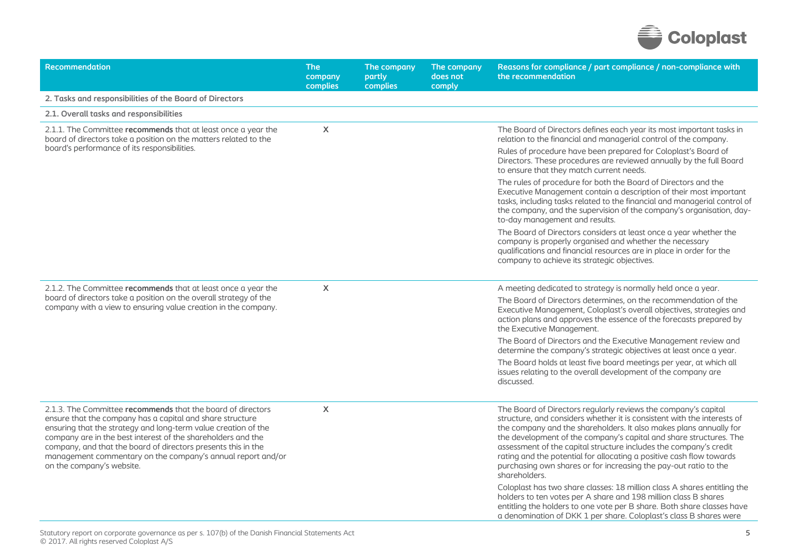

| Recommendation                                                                                                                                                                                                                                                                                                                                                                                                          | <b>The</b><br>company<br><b>complies</b> | The company<br>partly<br>complies | The company<br>does not<br>comply | Reasons for compliance / part compliance / non-compliance with<br>the recommendation                                                                                                                                                                                                                                                                                                                                                                                                                                                                                                                                                                                                                                                                                                                                   |
|-------------------------------------------------------------------------------------------------------------------------------------------------------------------------------------------------------------------------------------------------------------------------------------------------------------------------------------------------------------------------------------------------------------------------|------------------------------------------|-----------------------------------|-----------------------------------|------------------------------------------------------------------------------------------------------------------------------------------------------------------------------------------------------------------------------------------------------------------------------------------------------------------------------------------------------------------------------------------------------------------------------------------------------------------------------------------------------------------------------------------------------------------------------------------------------------------------------------------------------------------------------------------------------------------------------------------------------------------------------------------------------------------------|
| 2. Tasks and responsibilities of the Board of Directors                                                                                                                                                                                                                                                                                                                                                                 |                                          |                                   |                                   |                                                                                                                                                                                                                                                                                                                                                                                                                                                                                                                                                                                                                                                                                                                                                                                                                        |
| 2.1. Overall tasks and responsibilities                                                                                                                                                                                                                                                                                                                                                                                 |                                          |                                   |                                   |                                                                                                                                                                                                                                                                                                                                                                                                                                                                                                                                                                                                                                                                                                                                                                                                                        |
| 2.1.1. The Committee recommends that at least once a year the<br>board of directors take a position on the matters related to the                                                                                                                                                                                                                                                                                       | X                                        |                                   |                                   | The Board of Directors defines each year its most important tasks in<br>relation to the financial and managerial control of the company.                                                                                                                                                                                                                                                                                                                                                                                                                                                                                                                                                                                                                                                                               |
| board's performance of its responsibilities.                                                                                                                                                                                                                                                                                                                                                                            |                                          |                                   |                                   | Rules of procedure have been prepared for Coloplast's Board of<br>Directors. These procedures are reviewed annually by the full Board<br>to ensure that they match current needs.                                                                                                                                                                                                                                                                                                                                                                                                                                                                                                                                                                                                                                      |
|                                                                                                                                                                                                                                                                                                                                                                                                                         |                                          |                                   |                                   | The rules of procedure for both the Board of Directors and the<br>Executive Management contain a description of their most important<br>tasks, including tasks related to the financial and managerial control of<br>the company, and the supervision of the company's organisation, day-<br>to-day management and results.                                                                                                                                                                                                                                                                                                                                                                                                                                                                                            |
|                                                                                                                                                                                                                                                                                                                                                                                                                         |                                          |                                   |                                   | The Board of Directors considers at least once a year whether the<br>company is properly organised and whether the necessary<br>qualifications and financial resources are in place in order for the<br>company to achieve its strategic objectives.                                                                                                                                                                                                                                                                                                                                                                                                                                                                                                                                                                   |
| 2.1.2. The Committee recommends that at least once a year the<br>board of directors take a position on the overall strategy of the<br>company with a view to ensuring value creation in the company.                                                                                                                                                                                                                    | X                                        |                                   |                                   | A meeting dedicated to strategy is normally held once a year.                                                                                                                                                                                                                                                                                                                                                                                                                                                                                                                                                                                                                                                                                                                                                          |
|                                                                                                                                                                                                                                                                                                                                                                                                                         |                                          |                                   |                                   | The Board of Directors determines, on the recommendation of the<br>Executive Management, Coloplast's overall objectives, strategies and<br>action plans and approves the essence of the forecasts prepared by<br>the Executive Management.                                                                                                                                                                                                                                                                                                                                                                                                                                                                                                                                                                             |
|                                                                                                                                                                                                                                                                                                                                                                                                                         |                                          |                                   |                                   | The Board of Directors and the Executive Management review and<br>determine the company's strategic objectives at least once a year.                                                                                                                                                                                                                                                                                                                                                                                                                                                                                                                                                                                                                                                                                   |
|                                                                                                                                                                                                                                                                                                                                                                                                                         |                                          |                                   |                                   | The Board holds at least five board meetings per year, at which all<br>issues relating to the overall development of the company are<br>discussed.                                                                                                                                                                                                                                                                                                                                                                                                                                                                                                                                                                                                                                                                     |
| 2.1.3. The Committee recommends that the board of directors<br>ensure that the company has a capital and share structure<br>ensuring that the strategy and long-term value creation of the<br>company are in the best interest of the shareholders and the<br>company, and that the board of directors presents this in the<br>management commentary on the company's annual report and/or<br>on the company's website. | X                                        |                                   |                                   | The Board of Directors regularly reviews the company's capital<br>structure, and considers whether it is consistent with the interests of<br>the company and the shareholders. It also makes plans annually for<br>the development of the company's capital and share structures. The<br>assessment of the capital structure includes the company's credit<br>rating and the potential for allocating a positive cash flow towards<br>purchasing own shares or for increasing the pay-out ratio to the<br>shareholders.<br>Coloplast has two share classes: 18 million class A shares entitling the<br>holders to ten votes per A share and 198 million class B shares<br>entitling the holders to one vote per B share. Both share classes have<br>a denomination of DKK 1 per share. Coloplast's class B shares were |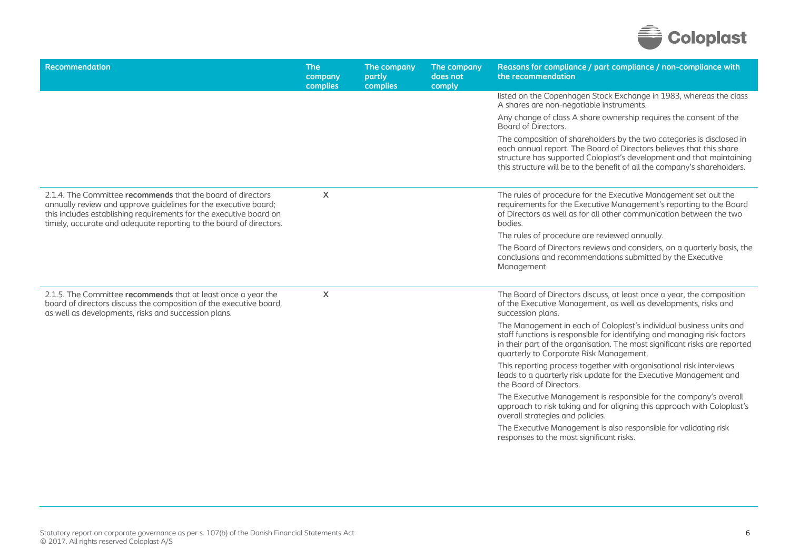

| Recommendation                                                                                                                                                                                                                                                             | <b>The</b><br>company<br>complies | The company<br>partly<br>complies | The company<br>does not<br>comply | Reasons for compliance / part compliance / non-compliance with<br>the recommendation                                                                                                                                                                                                             |
|----------------------------------------------------------------------------------------------------------------------------------------------------------------------------------------------------------------------------------------------------------------------------|-----------------------------------|-----------------------------------|-----------------------------------|--------------------------------------------------------------------------------------------------------------------------------------------------------------------------------------------------------------------------------------------------------------------------------------------------|
|                                                                                                                                                                                                                                                                            |                                   |                                   |                                   | listed on the Copenhagen Stock Exchange in 1983, whereas the class<br>A shares are non-negotiable instruments.                                                                                                                                                                                   |
|                                                                                                                                                                                                                                                                            |                                   |                                   |                                   | Any change of class A share ownership requires the consent of the<br>Board of Directors.                                                                                                                                                                                                         |
|                                                                                                                                                                                                                                                                            |                                   |                                   |                                   | The composition of shareholders by the two categories is disclosed in<br>each annual report. The Board of Directors believes that this share<br>structure has supported Coloplast's development and that maintaining<br>this structure will be to the benefit of all the company's shareholders. |
| 2.1.4. The Committee recommends that the board of directors<br>annually review and approve guidelines for the executive board;<br>this includes establishing requirements for the executive board on<br>timely, accurate and adequate reporting to the board of directors. | X                                 |                                   |                                   | The rules of procedure for the Executive Management set out the<br>requirements for the Executive Management's reporting to the Board<br>of Directors as well as for all other communication between the two<br>bodies.                                                                          |
|                                                                                                                                                                                                                                                                            |                                   |                                   |                                   | The rules of procedure are reviewed annually.                                                                                                                                                                                                                                                    |
|                                                                                                                                                                                                                                                                            |                                   |                                   |                                   | The Board of Directors reviews and considers, on a quarterly basis, the<br>conclusions and recommendations submitted by the Executive<br>Management.                                                                                                                                             |
| 2.1.5. The Committee recommends that at least once a year the<br>board of directors discuss the composition of the executive board,<br>as well as developments, risks and succession plans.                                                                                | $\boldsymbol{\mathsf{X}}$         |                                   |                                   | The Board of Directors discuss, at least once a year, the composition<br>of the Executive Management, as well as developments, risks and<br>succession plans.                                                                                                                                    |
|                                                                                                                                                                                                                                                                            |                                   |                                   |                                   | The Management in each of Coloplast's individual business units and<br>staff functions is responsible for identifying and managing risk factors<br>in their part of the organisation. The most significant risks are reported<br>quarterly to Corporate Risk Management.                         |
|                                                                                                                                                                                                                                                                            |                                   |                                   |                                   | This reporting process together with organisational risk interviews<br>leads to a quarterly risk update for the Executive Management and<br>the Board of Directors.                                                                                                                              |
|                                                                                                                                                                                                                                                                            |                                   |                                   |                                   | The Executive Management is responsible for the company's overall<br>approach to risk taking and for aligning this approach with Coloplast's<br>overall strategies and policies.                                                                                                                 |
|                                                                                                                                                                                                                                                                            |                                   |                                   |                                   | The Executive Management is also responsible for validating risk<br>responses to the most significant risks.                                                                                                                                                                                     |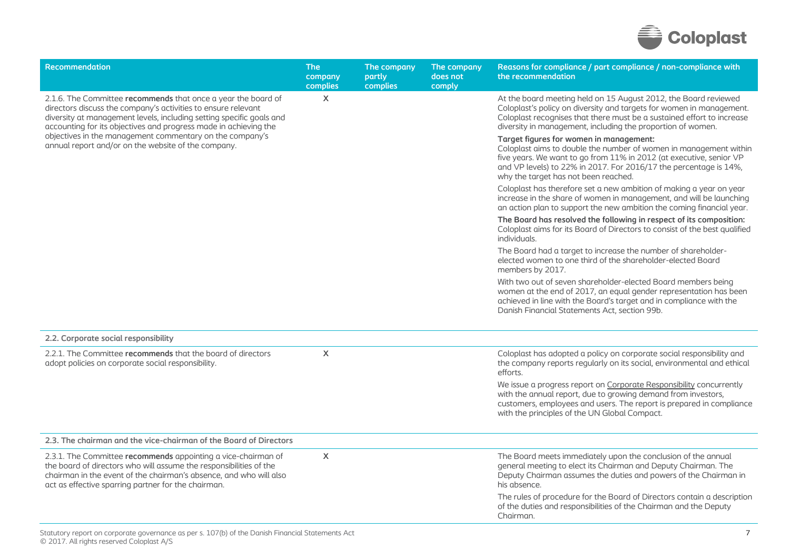

| Recommendation                                                                                                                                                                                                                                                             | <b>The</b><br>company<br>complies | The company<br>partly<br>complies | The company<br>does not<br>comply | Reasons for compliance / part compliance / non-compliance with<br>the recommendation                                                                                                                                                                                                             |
|----------------------------------------------------------------------------------------------------------------------------------------------------------------------------------------------------------------------------------------------------------------------------|-----------------------------------|-----------------------------------|-----------------------------------|--------------------------------------------------------------------------------------------------------------------------------------------------------------------------------------------------------------------------------------------------------------------------------------------------|
| 2.1.6. The Committee recommends that once a year the board of<br>directors discuss the company's activities to ensure relevant<br>diversity at management levels, including setting specific goals and<br>accounting for its objectives and progress made in achieving the | X                                 |                                   |                                   | At the board meeting held on 15 August 2012, the Board reviewed<br>Coloplast's policy on diversity and targets for women in management.<br>Coloplast recognises that there must be a sustained effort to increase<br>diversity in management, including the proportion of women.                 |
| objectives in the management commentary on the company's<br>annual report and/or on the website of the company.                                                                                                                                                            |                                   |                                   |                                   | Target figures for women in management:<br>Coloplast aims to double the number of women in management within<br>five years. We want to go from 11% in 2012 (at executive, senior VP<br>and VP levels) to 22% in 2017. For 2016/17 the percentage is 14%,<br>why the target has not been reached. |
|                                                                                                                                                                                                                                                                            |                                   |                                   |                                   | Coloplast has therefore set a new ambition of making a year on year<br>increase in the share of women in management, and will be launching<br>an action plan to support the new ambition the coming financial year.                                                                              |
|                                                                                                                                                                                                                                                                            |                                   |                                   |                                   | The Board has resolved the following in respect of its composition:<br>Coloplast aims for its Board of Directors to consist of the best qualified<br>individuals.                                                                                                                                |
|                                                                                                                                                                                                                                                                            |                                   |                                   |                                   | The Board had a target to increase the number of shareholder-<br>elected women to one third of the shareholder-elected Board<br>members by 2017.                                                                                                                                                 |
|                                                                                                                                                                                                                                                                            |                                   |                                   |                                   | With two out of seven shareholder-elected Board members being<br>women at the end of 2017, an equal gender representation has been<br>achieved in line with the Board's target and in compliance with the<br>Danish Financial Statements Act, section 99b.                                       |
| 2.2. Corporate social responsibility                                                                                                                                                                                                                                       |                                   |                                   |                                   |                                                                                                                                                                                                                                                                                                  |
| 2.2.1. The Committee recommends that the board of directors<br>adopt policies on corporate social responsibility.                                                                                                                                                          | $\boldsymbol{\mathsf{X}}$         |                                   |                                   | Coloplast has adopted a policy on corporate social responsibility and<br>the company reports regularly on its social, environmental and ethical<br>efforts.                                                                                                                                      |
|                                                                                                                                                                                                                                                                            |                                   |                                   |                                   | We issue a progress report on Corporate Responsibility concurrently<br>with the annual report, due to growing demand from investors,<br>customers, employees and users. The report is prepared in compliance<br>with the principles of the UN Global Compact.                                    |
| 2.3. The chairman and the vice-chairman of the Board of Directors                                                                                                                                                                                                          |                                   |                                   |                                   |                                                                                                                                                                                                                                                                                                  |
| 2.3.1. The Committee recommends appointing a vice-chairman of<br>the board of directors who will assume the responsibilities of the<br>chairman in the event of the chairman's absence, and who will also<br>act as effective sparring partner for the chairman.           | $\mathsf{X}$                      |                                   |                                   | The Board meets immediately upon the conclusion of the annual<br>general meeting to elect its Chairman and Deputy Chairman. The<br>Deputy Chairman assumes the duties and powers of the Chairman in<br>his absence.                                                                              |
|                                                                                                                                                                                                                                                                            |                                   |                                   |                                   | The rules of procedure for the Board of Directors contain a description<br>of the duties and responsibilities of the Chairman and the Deputy<br>Chairman.                                                                                                                                        |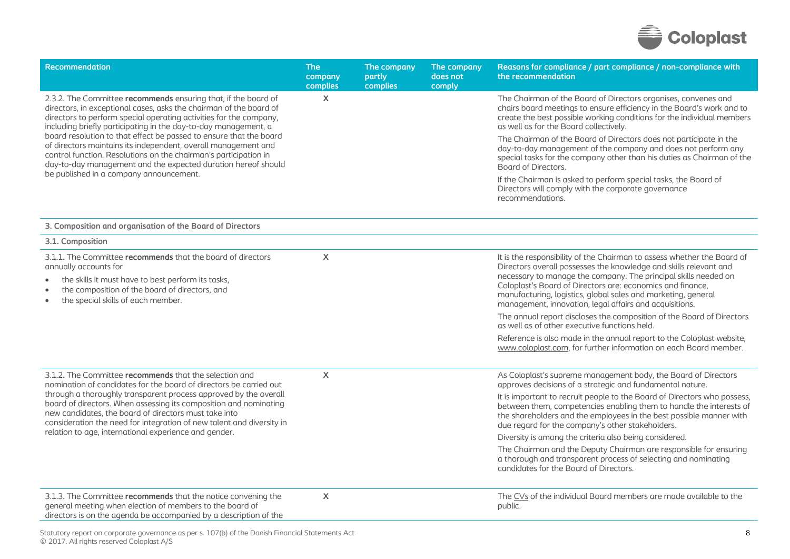

| <b>Recommendation</b>                                                                                                                                                                                                                                                         | <b>The</b><br>company<br>complies | The company<br>partly<br>complies | The company<br>does not<br>comply | Reasons for compliance / part compliance / non-compliance with<br>the recommendation                                                                                                                                                                                          |
|-------------------------------------------------------------------------------------------------------------------------------------------------------------------------------------------------------------------------------------------------------------------------------|-----------------------------------|-----------------------------------|-----------------------------------|-------------------------------------------------------------------------------------------------------------------------------------------------------------------------------------------------------------------------------------------------------------------------------|
| 2.3.2. The Committee recommends ensuring that, if the board of<br>directors, in exceptional cases, asks the chairman of the board of<br>directors to perform special operating activities for the company,<br>including briefly participating in the day-to-day management, a | $\mathsf{X}$                      |                                   |                                   | The Chairman of the Board of Directors organises, convenes and<br>chairs board meetings to ensure efficiency in the Board's work and to<br>create the best possible working conditions for the individual members<br>as well as for the Board collectively.                   |
| board resolution to that effect be passed to ensure that the board<br>of directors maintains its independent, overall management and<br>control function. Resolutions on the chairman's participation in<br>day-to-day management and the expected duration hereof should     |                                   |                                   |                                   | The Chairman of the Board of Directors does not participate in the<br>day-to-day management of the company and does not perform any<br>special tasks for the company other than his duties as Chairman of the<br>Board of Directors.                                          |
| be published in a company announcement.                                                                                                                                                                                                                                       |                                   |                                   |                                   | If the Chairman is asked to perform special tasks, the Board of<br>Directors will comply with the corporate governance<br>recommendations.                                                                                                                                    |
| 3. Composition and organisation of the Board of Directors                                                                                                                                                                                                                     |                                   |                                   |                                   |                                                                                                                                                                                                                                                                               |
| 3.1. Composition                                                                                                                                                                                                                                                              |                                   |                                   |                                   |                                                                                                                                                                                                                                                                               |
| 3.1.1. The Committee recommends that the board of directors<br>annually accounts for<br>the skills it must have to best perform its tasks,<br>$\bullet$<br>the composition of the board of directors, and<br>$\bullet$                                                        | X                                 |                                   |                                   | It is the responsibility of the Chairman to assess whether the Board of<br>Directors overall possesses the knowledge and skills relevant and<br>necessary to manage the company. The principal skills needed on<br>Coloplast's Board of Directors are: economics and finance, |
| the special skills of each member.<br>$\bullet$                                                                                                                                                                                                                               |                                   |                                   |                                   | manufacturing, logistics, global sales and marketing, general<br>management, innovation, legal affairs and acquisitions.                                                                                                                                                      |
|                                                                                                                                                                                                                                                                               |                                   |                                   |                                   | The annual report discloses the composition of the Board of Directors<br>as well as of other executive functions held.                                                                                                                                                        |
|                                                                                                                                                                                                                                                                               |                                   |                                   |                                   | Reference is also made in the annual report to the Coloplast website,<br>www.coloplast.com, for further information on each Board member.                                                                                                                                     |
| 3.1.2. The Committee recommends that the selection and<br>nomination of candidates for the board of directors be carried out                                                                                                                                                  | X                                 |                                   |                                   | As Coloplast's supreme management body, the Board of Directors<br>approves decisions of a strategic and fundamental nature.                                                                                                                                                   |
| through a thoroughly transparent process approved by the overall<br>board of directors. When assessing its composition and nominating<br>new candidates, the board of directors must take into<br>consideration the need for integration of new talent and diversity in       |                                   |                                   |                                   | It is important to recruit people to the Board of Directors who possess,<br>between them, competencies enabling them to handle the interests of<br>the shareholders and the employees in the best possible manner with<br>due regard for the company's other stakeholders.    |
| relation to age, international experience and gender.                                                                                                                                                                                                                         |                                   |                                   |                                   | Diversity is among the criteria also being considered.                                                                                                                                                                                                                        |
|                                                                                                                                                                                                                                                                               |                                   |                                   |                                   | The Chairman and the Deputy Chairman are responsible for ensuring<br>a thorough and transparent process of selecting and nominating<br>candidates for the Board of Directors.                                                                                                 |
| 3.1.3. The Committee recommends that the notice convening the<br>general meeting when election of members to the board of<br>directors is on the agenda be accompanied by a description of the                                                                                | $\mathsf{X}$                      |                                   |                                   | The CVs of the individual Board members are made available to the<br>public.                                                                                                                                                                                                  |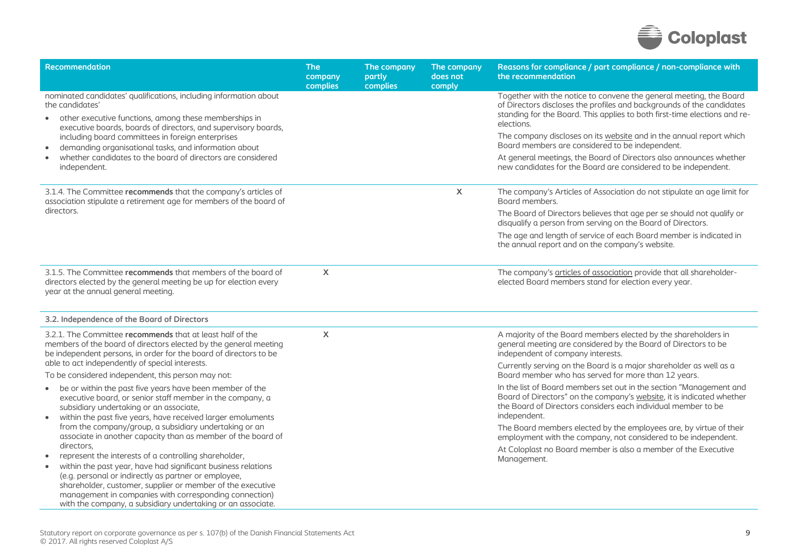

| <b>Recommendation</b>                                                                                                                                                                                                                                                                                                                                                                            | <b>The</b><br>company<br>complies | The company<br>partly<br>complies | The company<br>does not<br>comply | Reasons for compliance / part compliance / non-compliance with<br>the recommendation                                                                                                                                                   |
|--------------------------------------------------------------------------------------------------------------------------------------------------------------------------------------------------------------------------------------------------------------------------------------------------------------------------------------------------------------------------------------------------|-----------------------------------|-----------------------------------|-----------------------------------|----------------------------------------------------------------------------------------------------------------------------------------------------------------------------------------------------------------------------------------|
| nominated candidates' qualifications, including information about<br>the candidates'<br>other executive functions, among these memberships in<br>$\bullet$<br>executive boards, boards of directors, and supervisory boards,                                                                                                                                                                     |                                   |                                   |                                   | Together with the notice to convene the general meeting, the Board<br>of Directors discloses the profiles and backgrounds of the candidates<br>standing for the Board. This applies to both first-time elections and re-<br>elections. |
| including board committees in foreign enterprises<br>demanding organisational tasks, and information about<br>$\bullet$                                                                                                                                                                                                                                                                          |                                   |                                   |                                   | The company discloses on its website and in the annual report which<br>Board members are considered to be independent.                                                                                                                 |
| whether candidates to the board of directors are considered<br>$\bullet$<br>independent.                                                                                                                                                                                                                                                                                                         |                                   |                                   |                                   | At general meetings, the Board of Directors also announces whether<br>new candidates for the Board are considered to be independent.                                                                                                   |
| 3.1.4. The Committee recommends that the company's articles of<br>association stipulate a retirement age for members of the board of                                                                                                                                                                                                                                                             |                                   |                                   | X                                 | The company's Articles of Association do not stipulate an age limit for<br>Board members.                                                                                                                                              |
| directors.                                                                                                                                                                                                                                                                                                                                                                                       |                                   |                                   |                                   | The Board of Directors believes that age per se should not qualify or<br>disqualify a person from serving on the Board of Directors.                                                                                                   |
|                                                                                                                                                                                                                                                                                                                                                                                                  |                                   |                                   |                                   | The age and length of service of each Board member is indicated in<br>the annual report and on the company's website.                                                                                                                  |
| 3.1.5. The Committee recommends that members of the board of<br>directors elected by the general meeting be up for election every<br>year at the annual general meeting.                                                                                                                                                                                                                         | $\mathsf{X}$                      |                                   |                                   | The company's articles of association provide that all shareholder-<br>elected Board members stand for election every year.                                                                                                            |
| 3.2. Independence of the Board of Directors                                                                                                                                                                                                                                                                                                                                                      |                                   |                                   |                                   |                                                                                                                                                                                                                                        |
| 3.2.1. The Committee recommends that at least half of the<br>members of the board of directors elected by the general meeting<br>be independent persons, in order for the board of directors to be<br>able to act independently of special interests.                                                                                                                                            | $\mathsf{x}$                      |                                   |                                   | A majority of the Board members elected by the shareholders in<br>general meeting are considered by the Board of Directors to be<br>independent of company interests.                                                                  |
| To be considered independent, this person may not:                                                                                                                                                                                                                                                                                                                                               |                                   |                                   |                                   | Currently serving on the Board is a major shareholder as well as a<br>Board member who has served for more than 12 years.                                                                                                              |
| be or within the past five years have been member of the<br>$\bullet$<br>executive board, or senior staff member in the company, a<br>subsidiary undertaking or an associate,<br>within the past five years, have received larger emoluments<br>$\bullet$                                                                                                                                        |                                   |                                   |                                   | In the list of Board members set out in the section "Management and<br>Board of Directors" on the company's website, it is indicated whether<br>the Board of Directors considers each individual member to be<br>independent.          |
| from the company/group, a subsidiary undertaking or an<br>associate in another capacity than as member of the board of                                                                                                                                                                                                                                                                           |                                   |                                   |                                   | The Board members elected by the employees are, by virtue of their<br>employment with the company, not considered to be independent.                                                                                                   |
| directors.<br>represent the interests of a controlling shareholder,<br>within the past year, have had significant business relations<br>$\bullet$<br>(e.g. personal or indirectly as partner or employee,<br>shareholder, customer, supplier or member of the executive<br>management in companies with corresponding connection)<br>with the company, a subsidiary undertaking or an associate. |                                   |                                   |                                   | At Coloplast no Board member is also a member of the Executive<br>Management.                                                                                                                                                          |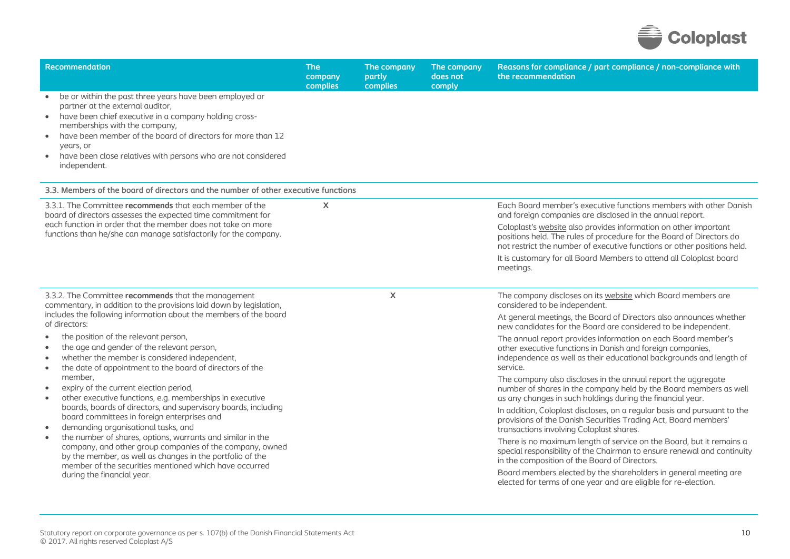

| <b>Recommendation</b>                                                                                                                                                                                                                                                                                                                                                                                                                                                                  | <b>The</b><br>company<br>complies    | The company<br>partly<br>complies | The company<br>does not<br>comply | Reasons for compliance / part compliance / non-compliance with<br>the recommendation                                                                                                                                |
|----------------------------------------------------------------------------------------------------------------------------------------------------------------------------------------------------------------------------------------------------------------------------------------------------------------------------------------------------------------------------------------------------------------------------------------------------------------------------------------|--------------------------------------|-----------------------------------|-----------------------------------|---------------------------------------------------------------------------------------------------------------------------------------------------------------------------------------------------------------------|
| be or within the past three years have been employed or<br>partner at the external auditor,<br>have been chief executive in a company holding cross-<br>$\bullet$<br>memberships with the company,<br>have been member of the board of directors for more than 12<br>$\bullet$<br>vears, or<br>have been close relatives with persons who are not considered<br>$\bullet$<br>independent.                                                                                              |                                      |                                   |                                   |                                                                                                                                                                                                                     |
| 3.3. Members of the board of directors and the number of other executive functions                                                                                                                                                                                                                                                                                                                                                                                                     |                                      |                                   |                                   |                                                                                                                                                                                                                     |
| 3.3.1. The Committee recommends that each member of the<br>board of directors assesses the expected time commitment for                                                                                                                                                                                                                                                                                                                                                                | X                                    |                                   |                                   | Each Board member's executive functions members with other Danish<br>and foreign companies are disclosed in the annual report.                                                                                      |
| each function in order that the member does not take on more<br>functions than he/she can manage satisfactorily for the company.                                                                                                                                                                                                                                                                                                                                                       |                                      |                                   |                                   | Coloplast's website also provides information on other important<br>positions held. The rules of procedure for the Board of Directors do<br>not restrict the number of executive functions or other positions held. |
|                                                                                                                                                                                                                                                                                                                                                                                                                                                                                        |                                      |                                   |                                   | It is customary for all Board Members to attend all Coloplast board<br>meetings.                                                                                                                                    |
| 3.3.2. The Committee recommends that the management<br>commentary, in addition to the provisions laid down by legislation,                                                                                                                                                                                                                                                                                                                                                             |                                      | $\mathsf{X}$                      |                                   | The company discloses on its website which Board members are<br>considered to be independent.                                                                                                                       |
| includes the following information about the members of the board<br>of directors:                                                                                                                                                                                                                                                                                                                                                                                                     | the position of the relevant person, |                                   |                                   | At general meetings, the Board of Directors also announces whether<br>new candidates for the Board are considered to be independent.                                                                                |
| the age and gender of the relevant person,<br>$\bullet$<br>whether the member is considered independent,<br>the date of appointment to the board of directors of the<br>$\bullet$                                                                                                                                                                                                                                                                                                      |                                      |                                   |                                   | The annual report provides information on each Board member's<br>other executive functions in Danish and foreign companies,<br>independence as well as their educational backgrounds and length of<br>service.      |
| member,<br>expiry of the current election period,<br>other executive functions, e.g. memberships in executive<br>boards, boards of directors, and supervisory boards, including<br>board committees in foreign enterprises and<br>demanding organisational tasks, and<br>$\bullet$<br>the number of shares, options, warrants and similar in the<br>$\bullet$<br>company, and other group companies of the company, owned<br>by the member, as well as changes in the portfolio of the |                                      |                                   |                                   | The company also discloses in the annual report the aggregate<br>number of shares in the company held by the Board members as well<br>as any changes in such holdings during the financial year.                    |
|                                                                                                                                                                                                                                                                                                                                                                                                                                                                                        |                                      |                                   |                                   | In addition, Coloplast discloses, on a regular basis and pursuant to the<br>provisions of the Danish Securities Trading Act, Board members'<br>transactions involving Coloplast shares.                             |
|                                                                                                                                                                                                                                                                                                                                                                                                                                                                                        |                                      |                                   |                                   | There is no maximum length of service on the Board, but it remains a<br>special responsibility of the Chairman to ensure renewal and continuity<br>in the composition of the Board of Directors.                    |
| member of the securities mentioned which have occurred<br>during the financial year.                                                                                                                                                                                                                                                                                                                                                                                                   |                                      |                                   |                                   | Board members elected by the shareholders in general meeting are<br>elected for terms of one year and are eligible for re-election.                                                                                 |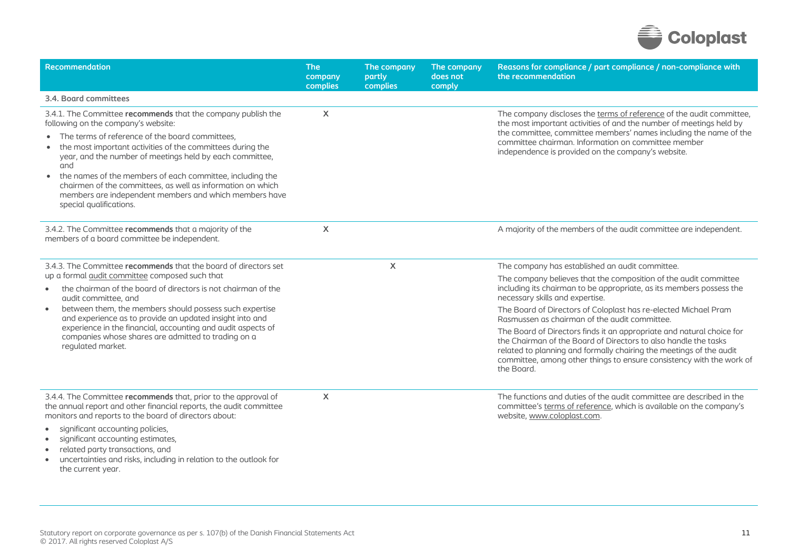

| <b>Recommendation</b>                                                                                                                                                                                                                                                                                                                                                                                                                                                                                                   | <b>The</b><br>company<br>complies | The company<br>partly<br>complies | The company<br>does not<br>comply | Reasons for compliance / part compliance / non-compliance with<br>the recommendation                                                                                                                                                                                                                                          |
|-------------------------------------------------------------------------------------------------------------------------------------------------------------------------------------------------------------------------------------------------------------------------------------------------------------------------------------------------------------------------------------------------------------------------------------------------------------------------------------------------------------------------|-----------------------------------|-----------------------------------|-----------------------------------|-------------------------------------------------------------------------------------------------------------------------------------------------------------------------------------------------------------------------------------------------------------------------------------------------------------------------------|
| 3.4. Board committees                                                                                                                                                                                                                                                                                                                                                                                                                                                                                                   |                                   |                                   |                                   |                                                                                                                                                                                                                                                                                                                               |
| 3.4.1. The Committee recommends that the company publish the<br>following on the company's website:<br>• The terms of reference of the board committees,<br>the most important activities of the committees during the<br>year, and the number of meetings held by each committee,<br>and<br>the names of the members of each committee, including the<br>$\bullet$<br>chairmen of the committees, as well as information on which<br>members are independent members and which members have<br>special qualifications. | X                                 |                                   |                                   | The company discloses the terms of reference of the audit committee,<br>the most important activities of and the number of meetings held by<br>the committee, committee members' names including the name of the<br>committee chairman. Information on committee member<br>independence is provided on the company's website. |
| 3.4.2. The Committee recommends that a majority of the<br>members of a board committee be independent.                                                                                                                                                                                                                                                                                                                                                                                                                  | X                                 |                                   |                                   | A majority of the members of the audit committee are independent.                                                                                                                                                                                                                                                             |
| 3.4.3. The Committee recommends that the board of directors set                                                                                                                                                                                                                                                                                                                                                                                                                                                         |                                   | $\mathsf{x}$                      |                                   | The company has established an audit committee.                                                                                                                                                                                                                                                                               |
| up a formal audit committee composed such that<br>the chairman of the board of directors is not chairman of the<br>$\bullet$<br>audit committee, and                                                                                                                                                                                                                                                                                                                                                                    |                                   |                                   |                                   | The company believes that the composition of the audit committee<br>including its chairman to be appropriate, as its members possess the<br>necessary skills and expertise.                                                                                                                                                   |
| between them, the members should possess such expertise<br>$\bullet$<br>and experience as to provide an updated insight into and                                                                                                                                                                                                                                                                                                                                                                                        |                                   |                                   |                                   | The Board of Directors of Coloplast has re-elected Michael Pram<br>Rasmussen as chairman of the audit committee.                                                                                                                                                                                                              |
| experience in the financial, accounting and audit aspects of<br>companies whose shares are admitted to trading on a<br>regulated market.                                                                                                                                                                                                                                                                                                                                                                                |                                   |                                   |                                   | The Board of Directors finds it an appropriate and natural choice for<br>the Chairman of the Board of Directors to also handle the tasks<br>related to planning and formally chairing the meetings of the audit<br>committee, among other things to ensure consistency with the work of<br>the Board.                         |
| 3.4.4. The Committee recommends that, prior to the approval of<br>the annual report and other financial reports, the audit committee<br>monitors and reports to the board of directors about:                                                                                                                                                                                                                                                                                                                           | $\mathsf{x}$                      |                                   |                                   | The functions and duties of the audit committee are described in the<br>committee's terms of reference, which is available on the company's<br>website, www.coloplast.com.                                                                                                                                                    |
| significant accounting policies,<br>significant accounting estimates,<br>related party transactions, and<br>uncertainties and risks, including in relation to the outlook for<br>the current year.                                                                                                                                                                                                                                                                                                                      |                                   |                                   |                                   |                                                                                                                                                                                                                                                                                                                               |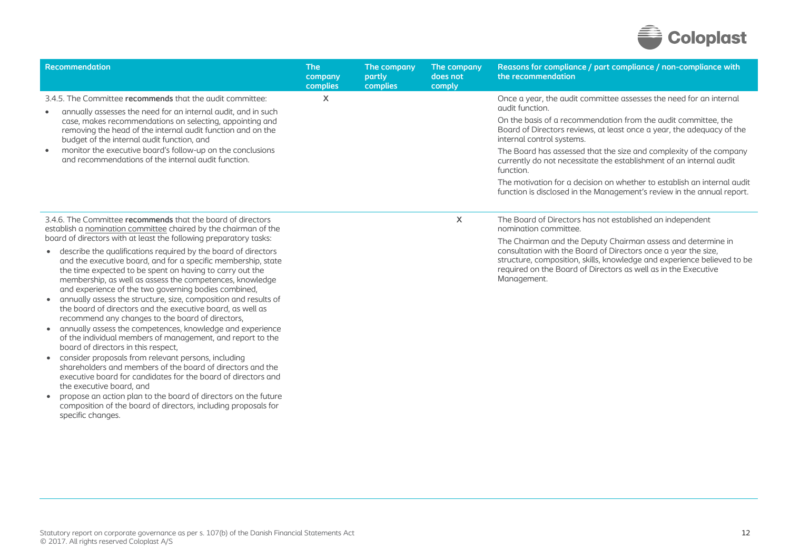

| Recommendation                                                                                                                                                                                                                                                                                                                                                                                                                                                                                                                                                                                                                                                                                                                                                           | <b>The</b><br>company<br>complies | The company<br>partly<br>complies | The company<br>does not<br>comply | Reasons for compliance / part compliance / non-compliance with<br>the recommendation                                                                                                                                                                                                                                                                                                                                                                                                                                                                                         |
|--------------------------------------------------------------------------------------------------------------------------------------------------------------------------------------------------------------------------------------------------------------------------------------------------------------------------------------------------------------------------------------------------------------------------------------------------------------------------------------------------------------------------------------------------------------------------------------------------------------------------------------------------------------------------------------------------------------------------------------------------------------------------|-----------------------------------|-----------------------------------|-----------------------------------|------------------------------------------------------------------------------------------------------------------------------------------------------------------------------------------------------------------------------------------------------------------------------------------------------------------------------------------------------------------------------------------------------------------------------------------------------------------------------------------------------------------------------------------------------------------------------|
| 3.4.5. The Committee recommends that the audit committee:<br>annually assesses the need for an internal audit, and in such<br>$\bullet$<br>case, makes recommendations on selecting, appointing and<br>removing the head of the internal audit function and on the<br>budget of the internal audit function, and<br>monitor the executive board's follow-up on the conclusions<br>$\bullet$<br>and recommendations of the internal audit function.                                                                                                                                                                                                                                                                                                                       | X                                 |                                   |                                   | Once a year, the audit committee assesses the need for an internal<br>qudit function.<br>On the basis of a recommendation from the audit committee, the<br>Board of Directors reviews, at least once a year, the adequacy of the<br>internal control systems.<br>The Board has assessed that the size and complexity of the company<br>currently do not necessitate the establishment of an internal audit<br>function.<br>The motivation for a decision on whether to establish an internal audit<br>function is disclosed in the Management's review in the annual report. |
| 3.4.6. The Committee recommends that the board of directors<br>establish a nomination committee chaired by the chairman of the<br>board of directors with at least the following preparatory tasks:<br>describe the qualifications required by the board of directors<br>and the executive board, and for a specific membership, state<br>the time expected to be spent on having to carry out the<br>membership, as well as assess the competences, knowledge<br>and experience of the two governing bodies combined,<br>annually assess the structure, size, composition and results of<br>the board of directors and the executive board, as well as<br>recommend any changes to the board of directors,<br>annually assess the competences, knowledge and experience |                                   |                                   | X                                 | The Board of Directors has not established an independent<br>nomination committee.<br>The Chairman and the Deputy Chairman assess and determine in<br>consultation with the Board of Directors once a year the size,<br>structure, composition, skills, knowledge and experience believed to be<br>required on the Board of Directors as well as in the Executive<br>Management.                                                                                                                                                                                             |

of the individual members of management, and report to the

shareholders and members of the board of directors and the executive board for candidates for the board of directors and

 propose an action plan to the board of directors on the future composition of the board of directors, including proposals for

consider proposals from relevant persons, including

board of directors in this respect,

the executive board, and

specific changes.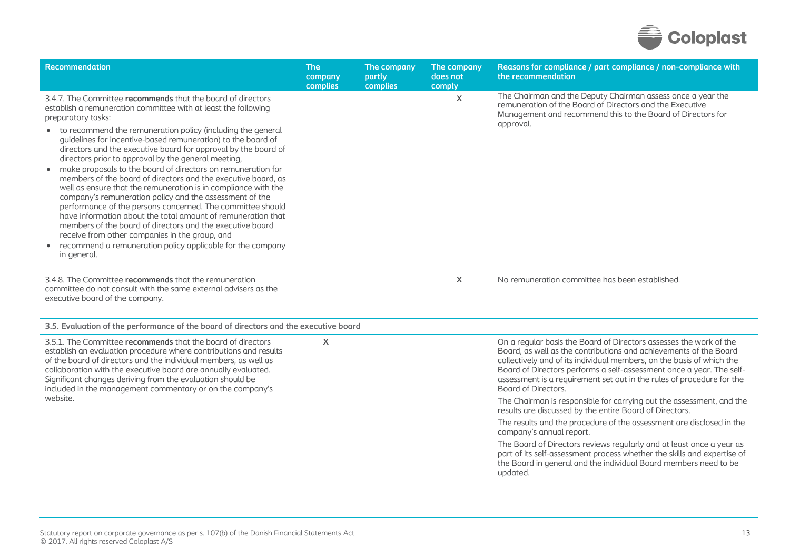

| Recommendation                                                                                                                                                                                                                                                                                                                                                                                                                                                                                                                                                                                                                                                                                                                                                                                                                                   | <b>The</b><br>company<br>complies | The company<br>partly<br>complies | The company<br>does not<br>comply | Reasons for compliance / part compliance / non-compliance with<br>the recommendation                                                                                                                                                                                                                                                                                                     |
|--------------------------------------------------------------------------------------------------------------------------------------------------------------------------------------------------------------------------------------------------------------------------------------------------------------------------------------------------------------------------------------------------------------------------------------------------------------------------------------------------------------------------------------------------------------------------------------------------------------------------------------------------------------------------------------------------------------------------------------------------------------------------------------------------------------------------------------------------|-----------------------------------|-----------------------------------|-----------------------------------|------------------------------------------------------------------------------------------------------------------------------------------------------------------------------------------------------------------------------------------------------------------------------------------------------------------------------------------------------------------------------------------|
| 3.4.7. The Committee recommends that the board of directors<br>establish a remuneration committee with at least the following<br>preparatory tasks:                                                                                                                                                                                                                                                                                                                                                                                                                                                                                                                                                                                                                                                                                              |                                   |                                   | $\sf X$                           | The Chairman and the Deputy Chairman assess once a year the<br>remuneration of the Board of Directors and the Executive<br>Management and recommend this to the Board of Directors for<br>approval.                                                                                                                                                                                      |
| • to recommend the remuneration policy (including the general<br>quidelines for incentive-based remuneration) to the board of<br>directors and the executive board for approval by the board of<br>directors prior to approval by the general meeting,<br>make proposals to the board of directors on remuneration for<br>members of the board of directors and the executive board, as<br>well as ensure that the remuneration is in compliance with the<br>company's remuneration policy and the assessment of the<br>performance of the persons concerned. The committee should<br>have information about the total amount of remuneration that<br>members of the board of directors and the executive board<br>receive from other companies in the group, and<br>• recommend a remuneration policy applicable for the company<br>in general. |                                   |                                   |                                   |                                                                                                                                                                                                                                                                                                                                                                                          |
| 3.4.8. The Committee recommends that the remuneration<br>committee do not consult with the same external advisers as the<br>executive board of the company.                                                                                                                                                                                                                                                                                                                                                                                                                                                                                                                                                                                                                                                                                      |                                   |                                   | X                                 | No remuneration committee has been established.                                                                                                                                                                                                                                                                                                                                          |
| 3.5. Evaluation of the performance of the board of directors and the executive board                                                                                                                                                                                                                                                                                                                                                                                                                                                                                                                                                                                                                                                                                                                                                             |                                   |                                   |                                   |                                                                                                                                                                                                                                                                                                                                                                                          |
| 3.5.1. The Committee recommends that the board of directors<br>establish an evaluation procedure where contributions and results<br>of the board of directors and the individual members, as well as<br>collaboration with the executive board are annually evaluated.<br>Significant changes deriving from the evaluation should be<br>included in the management commentary or on the company's<br>website.                                                                                                                                                                                                                                                                                                                                                                                                                                    | $\boldsymbol{\mathsf{X}}$         |                                   |                                   | On a regular basis the Board of Directors assesses the work of the<br>Board, as well as the contributions and achievements of the Board<br>collectively and of its individual members, on the basis of which the<br>Board of Directors performs a self-assessment once a year. The self-<br>assessment is a requirement set out in the rules of procedure for the<br>Board of Directors. |
|                                                                                                                                                                                                                                                                                                                                                                                                                                                                                                                                                                                                                                                                                                                                                                                                                                                  |                                   |                                   |                                   | The Chairman is responsible for carrying out the assessment, and the<br>results are discussed by the entire Board of Directors.                                                                                                                                                                                                                                                          |
|                                                                                                                                                                                                                                                                                                                                                                                                                                                                                                                                                                                                                                                                                                                                                                                                                                                  |                                   |                                   |                                   | The results and the procedure of the assessment are disclosed in the<br>company's annual report.                                                                                                                                                                                                                                                                                         |
|                                                                                                                                                                                                                                                                                                                                                                                                                                                                                                                                                                                                                                                                                                                                                                                                                                                  |                                   |                                   |                                   | The Board of Directors reviews regularly and at least once a year as<br>part of its self-assessment process whether the skills and expertise of<br>the Board in general and the individual Board members need to be<br>updated.                                                                                                                                                          |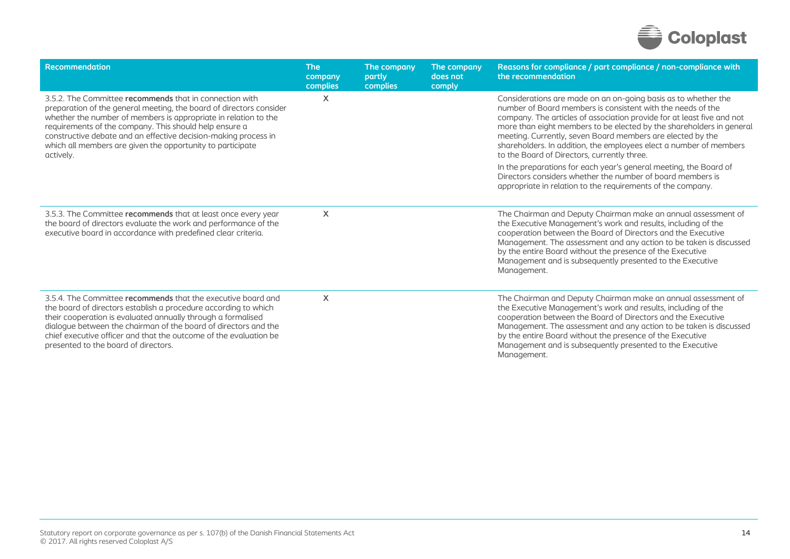

| Recommendation                                                                                                                                                                                                                                                                                                                                                                                            | <b>The</b><br>company<br>complies | The company<br>partly<br>complies | The company<br>does not<br>comply | Reasons for compliance / part compliance / non-compliance with<br>the recommendation                                                                                                                                                                                                                                                                                                                                                                                                                                                                                                                                                                                 |
|-----------------------------------------------------------------------------------------------------------------------------------------------------------------------------------------------------------------------------------------------------------------------------------------------------------------------------------------------------------------------------------------------------------|-----------------------------------|-----------------------------------|-----------------------------------|----------------------------------------------------------------------------------------------------------------------------------------------------------------------------------------------------------------------------------------------------------------------------------------------------------------------------------------------------------------------------------------------------------------------------------------------------------------------------------------------------------------------------------------------------------------------------------------------------------------------------------------------------------------------|
| 3.5.2. The Committee recommends that in connection with<br>preparation of the general meeting, the board of directors consider<br>whether the number of members is appropriate in relation to the<br>requirements of the company. This should help ensure a<br>constructive debate and an effective decision-making process in<br>which all members are given the opportunity to participate<br>actively. | X                                 |                                   |                                   | Considerations are made on an on-going basis as to whether the<br>number of Board members is consistent with the needs of the<br>company. The articles of association provide for at least five and not<br>more than eight members to be elected by the shareholders in general<br>meeting. Currently, seven Board members are elected by the<br>shareholders. In addition, the employees elect a number of members<br>to the Board of Directors, currently three.<br>In the preparations for each year's general meeting, the Board of<br>Directors considers whether the number of board members is<br>appropriate in relation to the requirements of the company. |
| 3.5.3. The Committee recommends that at least once every year<br>the board of directors evaluate the work and performance of the<br>executive board in accordance with predefined clear criteria.                                                                                                                                                                                                         | X                                 |                                   |                                   | The Chairman and Deputy Chairman make an annual assessment of<br>the Executive Management's work and results, including of the<br>cooperation between the Board of Directors and the Executive<br>Management. The assessment and any action to be taken is discussed<br>by the entire Board without the presence of the Executive<br>Management and is subsequently presented to the Executive<br>Management.                                                                                                                                                                                                                                                        |
| 3.5.4. The Committee recommends that the executive board and<br>the board of directors establish a procedure according to which<br>their cooperation is evaluated annually through a formalised<br>dialogue between the chairman of the board of directors and the<br>chief executive officer and that the outcome of the evaluation be<br>presented to the board of directors.                           | X                                 |                                   |                                   | The Chairman and Deputy Chairman make an annual assessment of<br>the Executive Management's work and results, including of the<br>cooperation between the Board of Directors and the Executive<br>Management. The assessment and any action to be taken is discussed<br>by the entire Board without the presence of the Executive<br>Management and is subsequently presented to the Executive<br>Management.                                                                                                                                                                                                                                                        |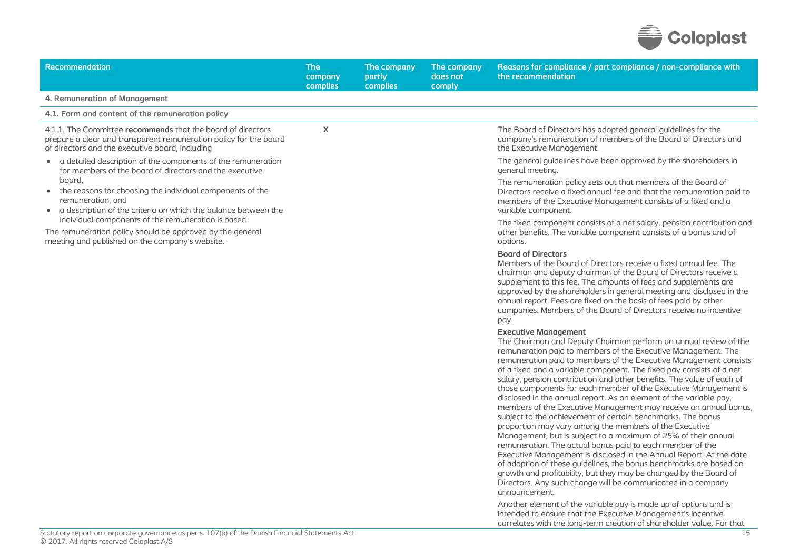

| <b>Recommendation</b>                                                                                                                                                                              | <b>The</b><br>company<br>complies | The company<br>partly<br>complies | The company<br>does not<br>comply | Reasons for compliance / part compliance / non-compliance with<br>the recommendation                                                                                                                                                                                                                                                                                                                                                                                                                                                                                                                                                                                                                                                                                                                                                                                                                                                                                                                                                                                                                                                                           |
|----------------------------------------------------------------------------------------------------------------------------------------------------------------------------------------------------|-----------------------------------|-----------------------------------|-----------------------------------|----------------------------------------------------------------------------------------------------------------------------------------------------------------------------------------------------------------------------------------------------------------------------------------------------------------------------------------------------------------------------------------------------------------------------------------------------------------------------------------------------------------------------------------------------------------------------------------------------------------------------------------------------------------------------------------------------------------------------------------------------------------------------------------------------------------------------------------------------------------------------------------------------------------------------------------------------------------------------------------------------------------------------------------------------------------------------------------------------------------------------------------------------------------|
| 4. Remuneration of Management                                                                                                                                                                      |                                   |                                   |                                   |                                                                                                                                                                                                                                                                                                                                                                                                                                                                                                                                                                                                                                                                                                                                                                                                                                                                                                                                                                                                                                                                                                                                                                |
| 4.1. Form and content of the remuneration policy                                                                                                                                                   |                                   |                                   |                                   |                                                                                                                                                                                                                                                                                                                                                                                                                                                                                                                                                                                                                                                                                                                                                                                                                                                                                                                                                                                                                                                                                                                                                                |
| 4.1.1. The Committee recommends that the board of directors<br>prepare a clear and transparent remuneration policy for the board<br>of directors and the executive board, including                | $\pmb{\times}$                    |                                   |                                   | The Board of Directors has adopted general guidelines for the<br>company's remuneration of members of the Board of Directors and<br>the Executive Management.                                                                                                                                                                                                                                                                                                                                                                                                                                                                                                                                                                                                                                                                                                                                                                                                                                                                                                                                                                                                  |
| • a detailed description of the components of the remuneration<br>for members of the board of directors and the executive<br>board,<br>• the reasons for choosing the individual components of the |                                   |                                   |                                   | The general guidelines have been approved by the shareholders in<br>general meeting.<br>The remuneration policy sets out that members of the Board of                                                                                                                                                                                                                                                                                                                                                                                                                                                                                                                                                                                                                                                                                                                                                                                                                                                                                                                                                                                                          |
| remuneration, and<br>• a description of the criteria on which the balance between the<br>individual components of the remuneration is based.                                                       |                                   |                                   |                                   | Directors receive a fixed annual fee and that the remuneration paid to<br>members of the Executive Management consists of a fixed and a<br>variable component.                                                                                                                                                                                                                                                                                                                                                                                                                                                                                                                                                                                                                                                                                                                                                                                                                                                                                                                                                                                                 |
| The remuneration policy should be approved by the general<br>meeting and published on the company's website.                                                                                       |                                   |                                   |                                   | The fixed component consists of a net salary, pension contribution and<br>other benefits. The variable component consists of a bonus and of<br>options.                                                                                                                                                                                                                                                                                                                                                                                                                                                                                                                                                                                                                                                                                                                                                                                                                                                                                                                                                                                                        |
|                                                                                                                                                                                                    |                                   |                                   |                                   | <b>Board of Directors</b><br>Members of the Board of Directors receive a fixed annual fee. The<br>chairman and deputy chairman of the Board of Directors receive a<br>supplement to this fee. The amounts of fees and supplements are<br>approved by the shareholders in general meeting and disclosed in the<br>annual report. Fees are fixed on the basis of fees paid by other<br>companies. Members of the Board of Directors receive no incentive<br>pay.                                                                                                                                                                                                                                                                                                                                                                                                                                                                                                                                                                                                                                                                                                 |
|                                                                                                                                                                                                    |                                   |                                   |                                   | <b>Executive Management</b><br>The Chairman and Deputy Chairman perform an annual review of the<br>remuneration paid to members of the Executive Management. The<br>remuneration paid to members of the Executive Management consists<br>of a fixed and a variable component. The fixed pay consists of a net<br>salary, pension contribution and other benefits. The value of each of<br>those components for each member of the Executive Management is<br>disclosed in the annual report. As an element of the variable pay,<br>members of the Executive Management may receive an annual bonus,<br>subject to the achievement of certain benchmarks. The bonus<br>proportion may vary among the members of the Executive<br>Management, but is subject to a maximum of 25% of their annual<br>remuneration. The actual bonus paid to each member of the<br>Executive Management is disclosed in the Annual Report. At the date<br>of adoption of these guidelines, the bonus benchmarks are based on<br>growth and profitability, but they may be changed by the Board of<br>Directors. Any such change will be communicated in a company<br>announcement. |
|                                                                                                                                                                                                    |                                   |                                   |                                   | Another element of the variable pay is made up of options and is<br>intended to ensure that the Executive Management's incentive                                                                                                                                                                                                                                                                                                                                                                                                                                                                                                                                                                                                                                                                                                                                                                                                                                                                                                                                                                                                                               |

correlates with the long-term creation of shareholder value. For that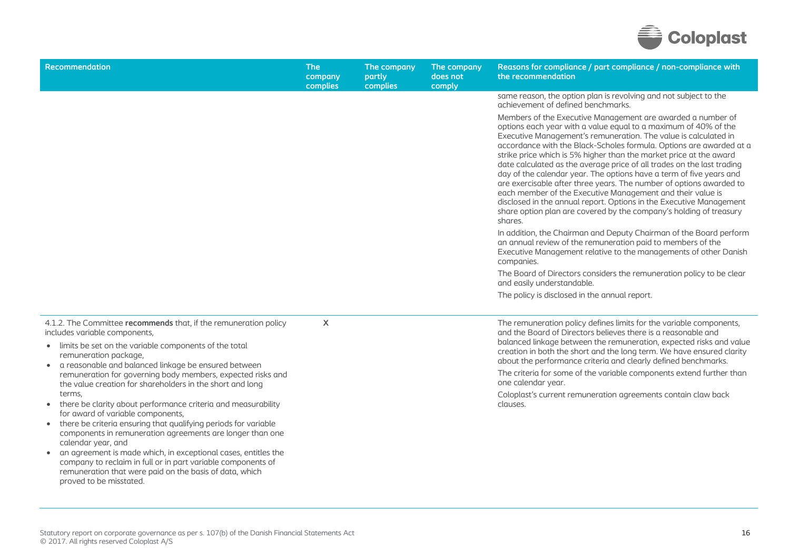

| Recommendation                                                                                                                                                                                                                                             | <b>The</b><br>company<br>complies | The company<br>partly<br>complies | The company<br>does not<br>comply | Reasons for compliance / part compliance / non-compliance with<br>the recommendation                                                                                                                                                                                                                                                                                                                                                                                                                                                                                                                                                                                                                                                                                                         |
|------------------------------------------------------------------------------------------------------------------------------------------------------------------------------------------------------------------------------------------------------------|-----------------------------------|-----------------------------------|-----------------------------------|----------------------------------------------------------------------------------------------------------------------------------------------------------------------------------------------------------------------------------------------------------------------------------------------------------------------------------------------------------------------------------------------------------------------------------------------------------------------------------------------------------------------------------------------------------------------------------------------------------------------------------------------------------------------------------------------------------------------------------------------------------------------------------------------|
|                                                                                                                                                                                                                                                            |                                   |                                   |                                   | same reason, the option plan is revolving and not subject to the<br>achievement of defined benchmarks.                                                                                                                                                                                                                                                                                                                                                                                                                                                                                                                                                                                                                                                                                       |
|                                                                                                                                                                                                                                                            |                                   |                                   |                                   | Members of the Executive Management are awarded a number of<br>options each year with a value equal to a maximum of 40% of the<br>Executive Management's remuneration. The value is calculated in<br>accordance with the Black-Scholes formula. Options are awarded at a<br>strike price which is 5% higher than the market price at the award<br>date calculated as the average price of all trades on the last trading<br>day of the calendar year. The options have a term of five years and<br>are exercisable after three years. The number of options awarded to<br>each member of the Executive Management and their value is<br>disclosed in the annual report. Options in the Executive Management<br>share option plan are covered by the company's holding of treasury<br>shares. |
|                                                                                                                                                                                                                                                            |                                   |                                   |                                   | In addition, the Chairman and Deputy Chairman of the Board perform<br>an annual review of the remuneration paid to members of the<br>Executive Management relative to the managements of other Danish<br>companies.                                                                                                                                                                                                                                                                                                                                                                                                                                                                                                                                                                          |
|                                                                                                                                                                                                                                                            |                                   |                                   |                                   | The Board of Directors considers the remuneration policy to be clear<br>and easily understandable.                                                                                                                                                                                                                                                                                                                                                                                                                                                                                                                                                                                                                                                                                           |
|                                                                                                                                                                                                                                                            |                                   |                                   |                                   | The policy is disclosed in the annual report.                                                                                                                                                                                                                                                                                                                                                                                                                                                                                                                                                                                                                                                                                                                                                |
| 4.1.2. The Committee recommends that, if the remuneration policy<br>includes variable components,<br>• limits be set on the variable components of the total<br>remuneration package,<br>a reasonable and balanced linkage be ensured between<br>$\bullet$ | X                                 |                                   |                                   | The remuneration policy defines limits for the variable components,<br>and the Board of Directors believes there is a reasonable and<br>balanced linkage between the remuneration, expected risks and value<br>creation in both the short and the long term. We have ensured clarity<br>about the performance criteria and clearly defined benchmarks.                                                                                                                                                                                                                                                                                                                                                                                                                                       |
| remuneration for governing body members, expected risks and<br>the value creation for shareholders in the short and long                                                                                                                                   |                                   |                                   |                                   | The criteria for some of the variable components extend further than<br>one calendar year.                                                                                                                                                                                                                                                                                                                                                                                                                                                                                                                                                                                                                                                                                                   |
| terms,<br>• there be clarity about performance criteria and measurability<br>for award of variable components,<br>• there be criteria ensuring that qualifying periods for variable                                                                        |                                   |                                   |                                   | Coloplast's current remuneration agreements contain claw back<br>clauses.                                                                                                                                                                                                                                                                                                                                                                                                                                                                                                                                                                                                                                                                                                                    |
| components in remuneration agreements are longer than one<br>calendar year, and                                                                                                                                                                            |                                   |                                   |                                   |                                                                                                                                                                                                                                                                                                                                                                                                                                                                                                                                                                                                                                                                                                                                                                                              |
| an agreement is made which, in exceptional cases, entitles the<br>company to reclaim in full or in part variable components of<br>remuneration that were paid on the basis of data, which                                                                  |                                   |                                   |                                   |                                                                                                                                                                                                                                                                                                                                                                                                                                                                                                                                                                                                                                                                                                                                                                                              |

proved to be misstated.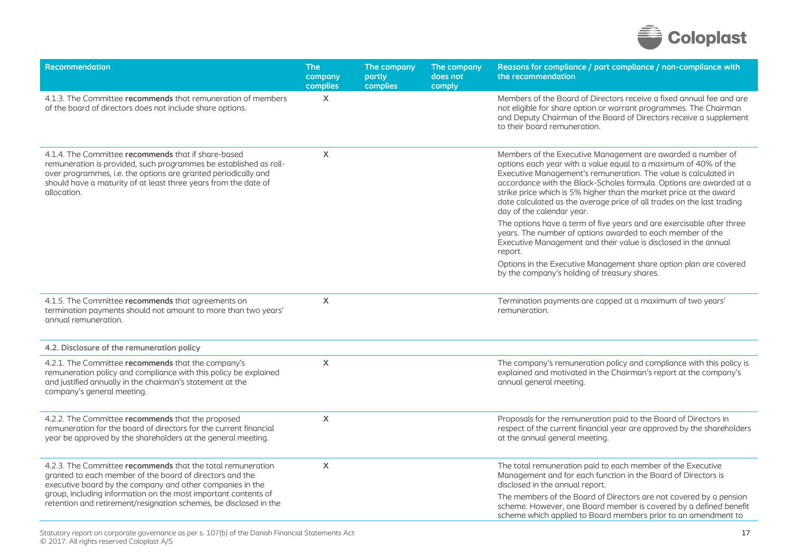

| <b>Recommendation</b>                                                                                                                                                                                                                                                        | <b>The</b><br>company<br>complies | The company<br>partly<br>complies | The company<br>does not<br>comply | Reasons for compliance / part compliance / non-compliance with<br>the recommendation                                                                                                                                                                                                                                                                                                                                                                  |
|------------------------------------------------------------------------------------------------------------------------------------------------------------------------------------------------------------------------------------------------------------------------------|-----------------------------------|-----------------------------------|-----------------------------------|-------------------------------------------------------------------------------------------------------------------------------------------------------------------------------------------------------------------------------------------------------------------------------------------------------------------------------------------------------------------------------------------------------------------------------------------------------|
| 4.1.3. The Committee recommends that remuneration of members<br>of the board of directors does not include share options.                                                                                                                                                    | $\mathsf{X}$                      |                                   |                                   | Members of the Board of Directors receive a fixed annual fee and are<br>not eligible for share option or warrant programmes. The Chairman<br>and Deputy Chairman of the Board of Directors receive a supplement<br>to their board remuneration.                                                                                                                                                                                                       |
| 4.1.4. The Committee recommends that if share-based<br>remuneration is provided, such programmes be established as roll-<br>over programmes, i.e. the options are granted periodically and<br>should have a maturity of at least three years from the date of<br>allocation. | X                                 |                                   |                                   | Members of the Executive Management are awarded a number of<br>options each year with a value equal to a maximum of 40% of the<br>Executive Management's remuneration. The value is calculated in<br>accordance with the Black-Scholes formula. Options are awarded at a<br>strike price which is 5% higher than the market price at the award<br>date calculated as the average price of all trades on the last trading<br>day of the calendar year. |
|                                                                                                                                                                                                                                                                              |                                   |                                   |                                   | The options have a term of five years and are exercisable after three<br>years. The number of options awarded to each member of the<br>Executive Management and their value is disclosed in the annual<br>report.                                                                                                                                                                                                                                     |
|                                                                                                                                                                                                                                                                              |                                   |                                   |                                   | Options in the Executive Management share option plan are covered<br>by the company's holding of treasury shares.                                                                                                                                                                                                                                                                                                                                     |
| 4.1.5. The Committee recommends that agreements on<br>termination payments should not amount to more than two years'<br>annual remuneration.                                                                                                                                 | $\boldsymbol{\mathsf{X}}$         |                                   |                                   | Termination payments are capped at a maximum of two years'<br>remuneration.                                                                                                                                                                                                                                                                                                                                                                           |
| 4.2. Disclosure of the remuneration policy                                                                                                                                                                                                                                   |                                   |                                   |                                   |                                                                                                                                                                                                                                                                                                                                                                                                                                                       |
| 4.2.1. The Committee recommends that the company's<br>remuneration policy and compliance with this policy be explained<br>and justified annually in the chairman's statement at the<br>company's general meeting.                                                            | X                                 |                                   |                                   | The company's remuneration policy and compliance with this policy is<br>explained and motivated in the Chairman's report at the company's<br>annual general meeting.                                                                                                                                                                                                                                                                                  |
| 4.2.2. The Committee recommends that the proposed<br>remuneration for the board of directors for the current financial<br>year be approved by the shareholders at the general meeting.                                                                                       | X                                 |                                   |                                   | Proposals for the remuneration paid to the Board of Directors in<br>respect of the current financial year are approved by the shareholders<br>at the annual general meeting.                                                                                                                                                                                                                                                                          |
| 4.2.3. The Committee recommends that the total remuneration<br>granted to each member of the board of directors and the<br>executive board by the company and other companies in the                                                                                         | $\pmb{\times}$                    |                                   |                                   | The total remuneration paid to each member of the Executive<br>Management and for each function in the Board of Directors is<br>disclosed in the annual report.                                                                                                                                                                                                                                                                                       |
| group, including information on the most important contents of<br>retention and retirement/resignation schemes, be disclosed in the                                                                                                                                          |                                   |                                   |                                   | The members of the Board of Directors are not covered by a pension<br>scheme. However, one Board member is covered by a defined benefit<br>scheme which applied to Board members prior to an amendment to                                                                                                                                                                                                                                             |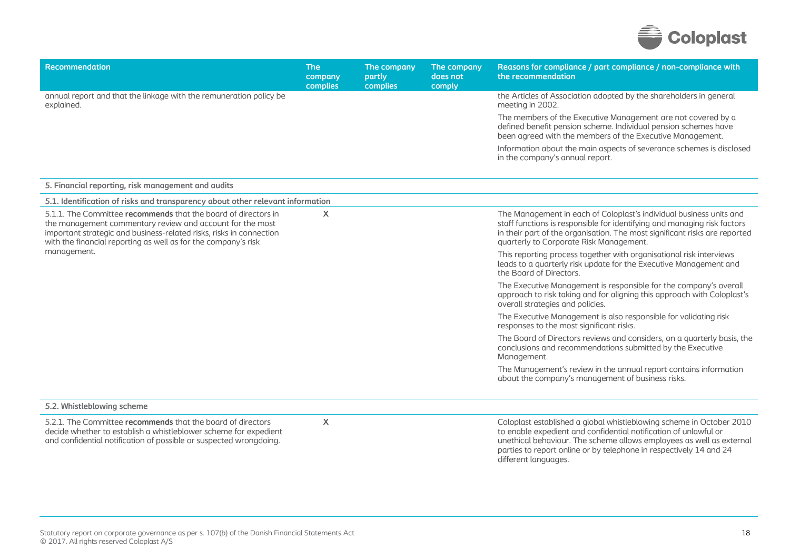

| <b>Recommendation</b>                                                                                                                                                                                                                                                | <b>The</b><br>company<br>complies | The company<br>partly<br>complies | The company<br>does not<br>comply | Reasons for compliance / part compliance / non-compliance with<br>the recommendation                                                                                                                                                                                                   |
|----------------------------------------------------------------------------------------------------------------------------------------------------------------------------------------------------------------------------------------------------------------------|-----------------------------------|-----------------------------------|-----------------------------------|----------------------------------------------------------------------------------------------------------------------------------------------------------------------------------------------------------------------------------------------------------------------------------------|
| annual report and that the linkage with the remuneration policy be<br>explained.                                                                                                                                                                                     |                                   |                                   |                                   | the Articles of Association adopted by the shareholders in general<br>meeting in 2002.                                                                                                                                                                                                 |
|                                                                                                                                                                                                                                                                      |                                   |                                   |                                   | The members of the Executive Management are not covered by a<br>defined benefit pension scheme. Individual pension schemes have<br>been agreed with the members of the Executive Management.                                                                                           |
|                                                                                                                                                                                                                                                                      |                                   |                                   |                                   | Information about the main aspects of severance schemes is disclosed<br>in the company's annual report.                                                                                                                                                                                |
| 5. Financial reporting, risk management and audits                                                                                                                                                                                                                   |                                   |                                   |                                   |                                                                                                                                                                                                                                                                                        |
| 5.1. Identification of risks and transparency about other relevant information                                                                                                                                                                                       |                                   |                                   |                                   |                                                                                                                                                                                                                                                                                        |
| 5.1.1. The Committee recommends that the board of directors in<br>the management commentary review and account for the most<br>important strategic and business-related risks, risks in connection<br>with the financial reporting as well as for the company's risk | X                                 |                                   |                                   | The Management in each of Coloplast's individual business units and<br>staff functions is responsible for identifying and managing risk factors<br>in their part of the organisation. The most significant risks are reported<br>quarterly to Corporate Risk Management.               |
| management.                                                                                                                                                                                                                                                          |                                   |                                   |                                   | This reporting process together with organisational risk interviews<br>leads to a quarterly risk update for the Executive Management and<br>the Board of Directors.                                                                                                                    |
|                                                                                                                                                                                                                                                                      |                                   |                                   |                                   | The Executive Management is responsible for the company's overall<br>approach to risk taking and for aligning this approach with Coloplast's<br>overall strategies and policies.                                                                                                       |
|                                                                                                                                                                                                                                                                      |                                   |                                   |                                   | The Executive Management is also responsible for validating risk<br>responses to the most significant risks.                                                                                                                                                                           |
|                                                                                                                                                                                                                                                                      |                                   |                                   |                                   | The Board of Directors reviews and considers, on a quarterly basis, the<br>conclusions and recommendations submitted by the Executive<br>Management.                                                                                                                                   |
|                                                                                                                                                                                                                                                                      |                                   |                                   |                                   | The Management's review in the annual report contains information<br>about the company's management of business risks.                                                                                                                                                                 |
| 5.2. Whistleblowing scheme                                                                                                                                                                                                                                           |                                   |                                   |                                   |                                                                                                                                                                                                                                                                                        |
| 5.2.1. The Committee recommends that the board of directors<br>decide whether to establish a whistleblower scheme for expedient<br>and confidential notification of possible or suspected wrongdoing.                                                                | X                                 |                                   |                                   | Coloplast established a global whistleblowing scheme in October 2010<br>to enable expedient and confidential notification of unlawful or<br>unethical behaviour. The scheme allows employees as well as external<br>parties to report online or by telephone in respectively 14 and 24 |

different languages.